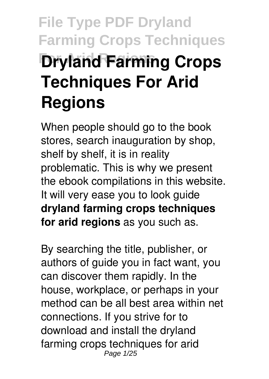# **File Type PDF Dryland Farming Crops Techniques Dryland Farming Crops Techniques For Arid Regions**

When people should go to the book stores, search inauguration by shop, shelf by shelf, it is in reality problematic. This is why we present the ebook compilations in this website. It will very ease you to look guide **dryland farming crops techniques for arid regions** as you such as.

By searching the title, publisher, or authors of guide you in fact want, you can discover them rapidly. In the house, workplace, or perhaps in your method can be all best area within net connections. If you strive for to download and install the dryland farming crops techniques for arid Page 1/25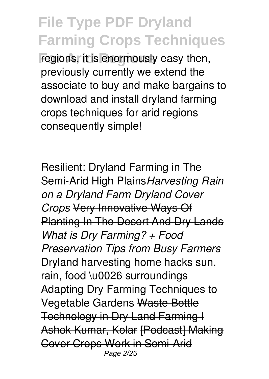regions, it is enormously easy then, previously currently we extend the associate to buy and make bargains to download and install dryland farming crops techniques for arid regions consequently simple!

Resilient: Dryland Farming in The Semi-Arid High Plains*Harvesting Rain on a Dryland Farm Dryland Cover Crops* Very Innovative Ways Of Planting In The Desert And Dry Lands *What is Dry Farming? + Food Preservation Tips from Busy Farmers* Dryland harvesting home hacks sun, rain, food \u0026 surroundings Adapting Dry Farming Techniques to Vegetable Gardens Waste Bottle Technology in Dry Land Farming I Ashok Kumar, Kolar [Podcast] Making Cover Crops Work in Semi-Arid Page 2/25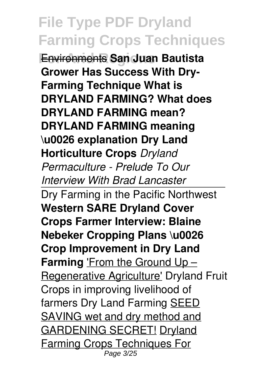**For Arid Regions** Environments **San Juan Bautista Grower Has Success With Dry-Farming Technique What is DRYLAND FARMING? What does DRYLAND FARMING mean? DRYLAND FARMING meaning \u0026 explanation Dry Land Horticulture Crops** *Dryland Permaculture - Prelude To Our Interview With Brad Lancaster*

Dry Farming in the Pacific Northwest **Western SARE Dryland Cover Crops Farmer Interview: Blaine Nebeker Cropping Plans \u0026 Crop Improvement in Dry Land Farming** 'From the Ground Up – Regenerative Agriculture' Dryland Fruit Crops in improving livelihood of farmers Dry Land Farming **SEED** SAVING wet and dry method and GARDENING SECRET! Dryland Farming Crops Techniques For Page 3/25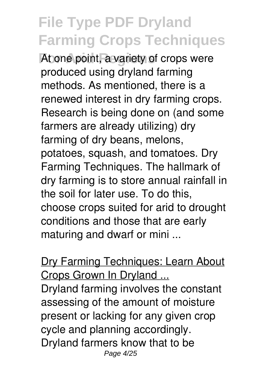At one point, a variety of crops were produced using dryland farming methods. As mentioned, there is a renewed interest in dry farming crops. Research is being done on (and some farmers are already utilizing) dry farming of dry beans, melons, potatoes, squash, and tomatoes. Dry Farming Techniques. The hallmark of dry farming is to store annual rainfall in the soil for later use. To do this, choose crops suited for arid to drought conditions and those that are early maturing and dwarf or mini ...

Dry Farming Techniques: Learn About Crops Grown In Dryland ...

Dryland farming involves the constant assessing of the amount of moisture present or lacking for any given crop cycle and planning accordingly. Dryland farmers know that to be Page 4/25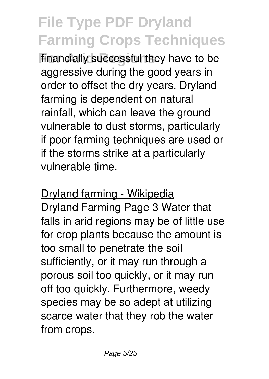**financially successful they have to be** aggressive during the good years in order to offset the dry years. Dryland farming is dependent on natural rainfall, which can leave the ground vulnerable to dust storms, particularly if poor farming techniques are used or if the storms strike at a particularly vulnerable time.

Dryland farming - Wikipedia Dryland Farming Page 3 Water that falls in arid regions may be of little use for crop plants because the amount is too small to penetrate the soil sufficiently, or it may run through a porous soil too quickly, or it may run off too quickly. Furthermore, weedy species may be so adept at utilizing scarce water that they rob the water from crops.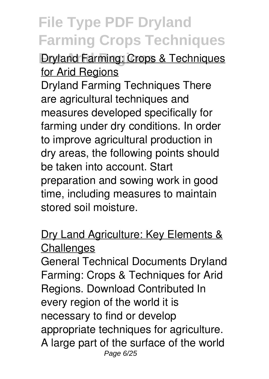*<u>Dryland Farming: Crops & Techniques</u>* for Arid Regions

Dryland Farming Techniques There are agricultural techniques and measures developed specifically for farming under dry conditions. In order to improve agricultural production in dry areas, the following points should be taken into account. Start preparation and sowing work in good time, including measures to maintain stored soil moisture.

### Dry Land Agriculture: Key Elements & **Challenges**

General Technical Documents Dryland Farming: Crops & Techniques for Arid Regions. Download Contributed In every region of the world it is necessary to find or develop appropriate techniques for agriculture. A large part of the surface of the world Page 6/25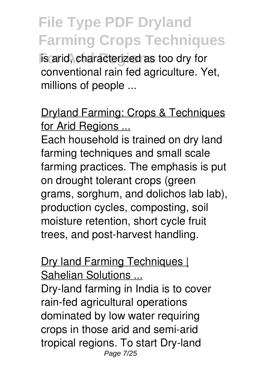**For Aris Arig Arists and Replicions** is arid, characterized as too dry for conventional rain fed agriculture. Yet, millions of people ...

Dryland Farming: Crops & Techniques for Arid Regions ...

Each household is trained on dry land farming techniques and small scale farming practices. The emphasis is put on drought tolerant crops (green grams, sorghum, and dolichos lab lab), production cycles, composting, soil moisture retention, short cycle fruit trees, and post-harvest handling.

#### Dry land Farming Techniques | Sahelian Solutions ...

Dry-land farming in India is to cover rain-fed agricultural operations dominated by low water requiring crops in those arid and semi-arid tropical regions. To start Dry-land Page 7/25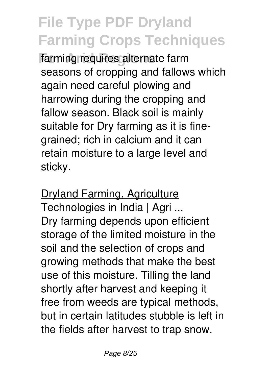farming requires alternate farm seasons of cropping and fallows which again need careful plowing and harrowing during the cropping and fallow season. Black soil is mainly suitable for Dry farming as it is finegrained; rich in calcium and it can retain moisture to a large level and sticky.

Dryland Farming, Agriculture Technologies in India | Agri ... Dry farming depends upon efficient storage of the limited moisture in the soil and the selection of crops and growing methods that make the best use of this moisture. Tilling the land shortly after harvest and keeping it free from weeds are typical methods, but in certain latitudes stubble is left in the fields after harvest to trap snow.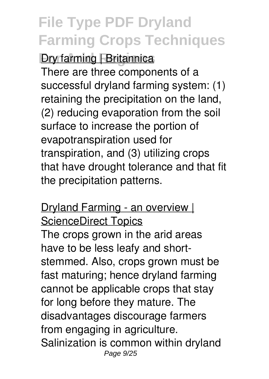### *<u>Dry farming [ Britannica</u>*

There are three components of a successful dryland farming system: (1) retaining the precipitation on the land, (2) reducing evaporation from the soil surface to increase the portion of evapotranspiration used for transpiration, and (3) utilizing crops that have drought tolerance and that fit the precipitation patterns.

Dryland Farming - an overview | ScienceDirect Topics The crops grown in the arid areas have to be less leafy and shortstemmed. Also, crops grown must be fast maturing; hence dryland farming cannot be applicable crops that stay for long before they mature. The disadvantages discourage farmers from engaging in agriculture. Salinization is common within dryland Page  $9/25$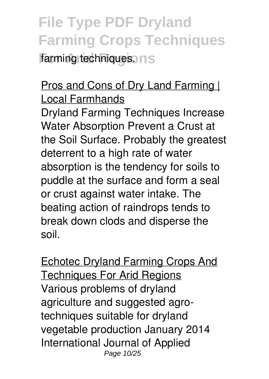### **File Type PDF Dryland Farming Crops Techniques farming techniques. ns**

### Pros and Cons of Dry Land Farming | Local Farmhands

Dryland Farming Techniques Increase Water Absorption Prevent a Crust at the Soil Surface. Probably the greatest deterrent to a high rate of water absorption is the tendency for soils to puddle at the surface and form a seal or crust against water intake. The beating action of raindrops tends to break down clods and disperse the soil.

Echotec Dryland Farming Crops And Techniques For Arid Regions Various problems of dryland agriculture and suggested agrotechniques suitable for dryland vegetable production January 2014 International Journal of Applied Page 10/25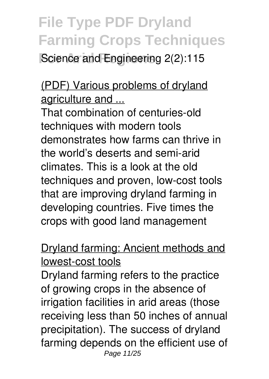**Science and Engineering 2(2):115** 

### (PDF) Various problems of dryland agriculture and ...

That combination of centuries-old techniques with modern tools demonstrates how farms can thrive in the world's deserts and semi-arid climates. This is a look at the old techniques and proven, low-cost tools that are improving dryland farming in developing countries. Five times the crops with good land management

### Dryland farming: Ancient methods and lowest-cost tools

Dryland farming refers to the practice of growing crops in the absence of irrigation facilities in arid areas (those receiving less than 50 inches of annual precipitation). The success of dryland farming depends on the efficient use of Page 11/25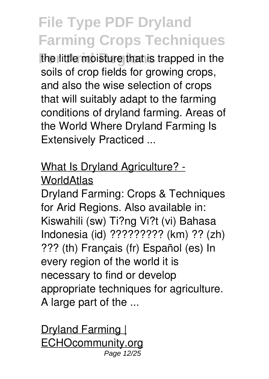**For Arid Regions** the little moisture that is trapped in the soils of crop fields for growing crops, and also the wise selection of crops that will suitably adapt to the farming conditions of dryland farming. Areas of the World Where Dryland Farming Is Extensively Practiced ...

#### What Is Dryland Agriculture? - **WorldAtlas**

Dryland Farming: Crops & Techniques for Arid Regions. Also available in: Kiswahili (sw) Ti?ng Vi?t (vi) Bahasa Indonesia (id) ????????? (km) ?? (zh) ??? (th) Français (fr) Español (es) In every region of the world it is necessary to find or develop appropriate techniques for agriculture. A large part of the ...

Dryland Farming | ECHOcommunity.org Page 12/25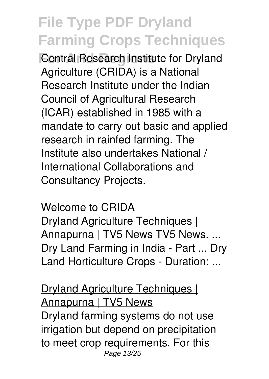**Central Research Institute for Dryland** Agriculture (CRIDA) is a National Research Institute under the Indian Council of Agricultural Research (ICAR) established in 1985 with a mandate to carry out basic and applied research in rainfed farming. The Institute also undertakes National / International Collaborations and Consultancy Projects.

#### Welcome to CRIDA

Dryland Agriculture Techniques | Annapurna | TV5 News TV5 News. ... Dry Land Farming in India - Part ... Dry Land Horticulture Crops - Duration: ...

Dryland Agriculture Techniques | Annapurna | TV5 News Dryland farming systems do not use irrigation but depend on precipitation to meet crop requirements. For this Page 13/25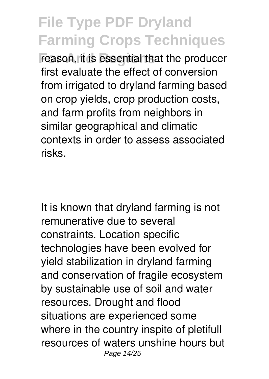reason, it is essential that the producer first evaluate the effect of conversion from irrigated to dryland farming based on crop yields, crop production costs, and farm profits from neighbors in similar geographical and climatic contexts in order to assess associated risks.

It is known that dryland farming is not remunerative due to several constraints. Location specific technologies have been evolved for yield stabilization in dryland farming and conservation of fragile ecosystem by sustainable use of soil and water resources. Drought and flood situations are experienced some where in the country inspite of pletifull resources of waters unshine hours but Page 14/25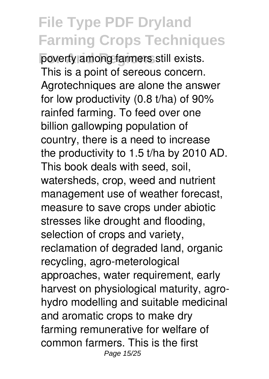poverty among farmers still exists. This is a point of sereous concern. Agrotechniques are alone the answer for low productivity (0.8 t/ha) of 90% rainfed farming. To feed over one billion gallowping population of country, there is a need to increase the productivity to 1.5 t/ha by 2010 AD. This book deals with seed, soil, watersheds, crop, weed and nutrient management use of weather forecast, measure to save crops under abiotic stresses like drought and flooding, selection of crops and variety, reclamation of degraded land, organic recycling, agro-meterological approaches, water requirement, early harvest on physiological maturity, agrohydro modelling and suitable medicinal and aromatic crops to make dry farming remunerative for welfare of common farmers. This is the first Page 15/25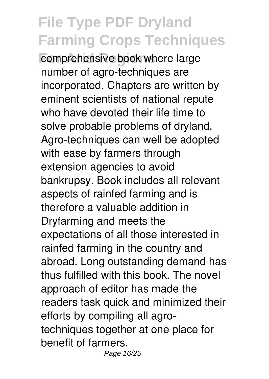comprehensive book where large number of agro-techniques are incorporated. Chapters are written by eminent scientists of national repute who have devoted their life time to solve probable problems of dryland. Agro-techniques can well be adopted with ease by farmers through extension agencies to avoid bankrupsy. Book includes all relevant aspects of rainfed farming and is therefore a valuable addition in Dryfarming and meets the expectations of all those interested in rainfed farming in the country and abroad. Long outstanding demand has thus fulfilled with this book. The novel approach of editor has made the readers task quick and minimized their efforts by compiling all agrotechniques together at one place for benefit of farmers. Page 16/25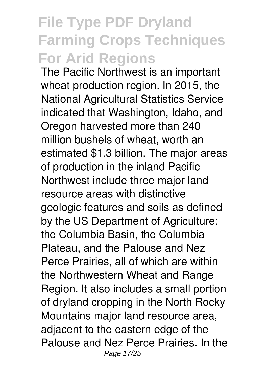### **File Type PDF Dryland Farming Crops Techniques For Arid Regions**

The Pacific Northwest is an important wheat production region. In 2015, the National Agricultural Statistics Service indicated that Washington, Idaho, and Oregon harvested more than 240 million bushels of wheat, worth an estimated \$1.3 billion. The major areas of production in the inland Pacific Northwest include three major land resource areas with distinctive geologic features and soils as defined by the US Department of Agriculture: the Columbia Basin, the Columbia Plateau, and the Palouse and Nez Perce Prairies, all of which are within the Northwestern Wheat and Range Region. It also includes a small portion of dryland cropping in the North Rocky Mountains major land resource area, adjacent to the eastern edge of the Palouse and Nez Perce Prairies. In the Page 17/25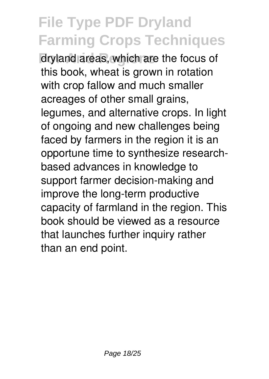dryland areas, which are the focus of this book, wheat is grown in rotation with crop fallow and much smaller acreages of other small grains, legumes, and alternative crops. In light of ongoing and new challenges being faced by farmers in the region it is an opportune time to synthesize researchbased advances in knowledge to support farmer decision-making and improve the long-term productive capacity of farmland in the region. This book should be viewed as a resource that launches further inquiry rather than an end point.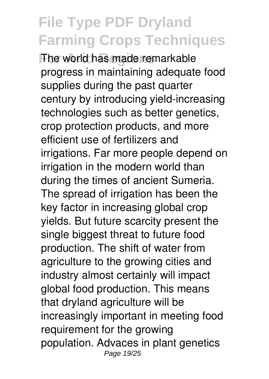**For Arid Regions** The world has made remarkable progress in maintaining adequate food supplies during the past quarter century by introducing yield-increasing technologies such as better genetics, crop protection products, and more efficient use of fertilizers and irrigations. Far more people depend on irrigation in the modern world than during the times of ancient Sumeria. The spread of irrigation has been the key factor in increasing global crop yields. But future scarcity present the single biggest threat to future food production. The shift of water from agriculture to the growing cities and industry almost certainly will impact global food production. This means that dryland agriculture will be increasingly important in meeting food requirement for the growing population. Advaces in plant genetics Page 19/25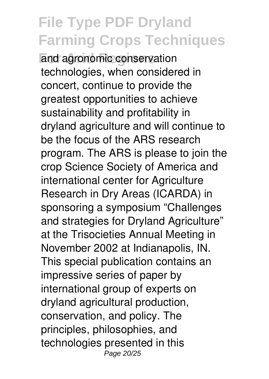**For Arid Regions** and agronomic conservation technologies, when considered in concert, continue to provide the greatest opportunities to achieve sustainability and profitability in dryland agriculture and will continue to be the focus of the ARS research program. The ARS is please to join the crop Science Society of America and international center for Agriculture Research in Dry Areas (ICARDA) in sponsoring a symposium "Challenges and strategies for Dryland Agriculture" at the Trisocieties Annual Meeting in November 2002 at Indianapolis, IN. This special publication contains an impressive series of paper by international group of experts on dryland agricultural production, conservation, and policy. The principles, philosophies, and technologies presented in this Page 20/25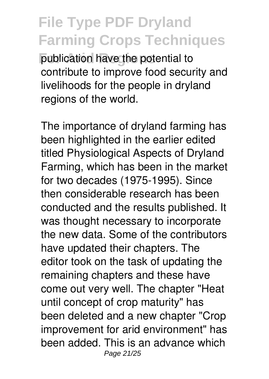**For Arid Regions** publication have the potential to contribute to improve food security and livelihoods for the people in dryland regions of the world.

The importance of dryland farming has been highlighted in the earlier edited titled Physiological Aspects of Dryland Farming, which has been in the market for two decades (1975-1995). Since then considerable research has been conducted and the results published. It was thought necessary to incorporate the new data. Some of the contributors have updated their chapters. The editor took on the task of updating the remaining chapters and these have come out very well. The chapter "Heat until concept of crop maturity" has been deleted and a new chapter "Crop improvement for arid environment" has been added. This is an advance which Page 21/25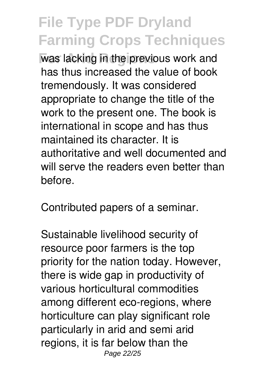**For Arid Regions** was lacking in the previous work and has thus increased the value of book tremendously. It was considered appropriate to change the title of the work to the present one. The book is international in scope and has thus maintained its character. It is authoritative and well documented and will serve the readers even better than before.

Contributed papers of a seminar.

Sustainable livelihood security of resource poor farmers is the top priority for the nation today. However, there is wide gap in productivity of various horticultural commodities among different eco-regions, where horticulture can play significant role particularly in arid and semi arid regions, it is far below than the Page 22/25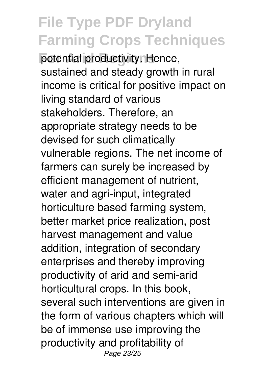potential productivity. Hence, sustained and steady growth in rural income is critical for positive impact on living standard of various stakeholders. Therefore, an appropriate strategy needs to be devised for such climatically vulnerable regions. The net income of farmers can surely be increased by efficient management of nutrient, water and agri-input, integrated horticulture based farming system, better market price realization, post harvest management and value addition, integration of secondary enterprises and thereby improving productivity of arid and semi-arid horticultural crops. In this book, several such interventions are given in the form of various chapters which will be of immense use improving the productivity and profitability of Page 23/25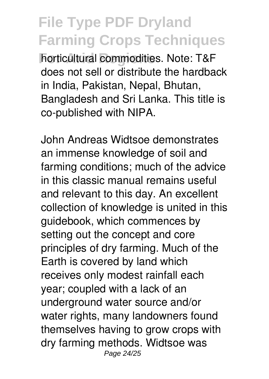**Forticultural commodities. Note: T&F** does not sell or distribute the hardback in India, Pakistan, Nepal, Bhutan, Bangladesh and Sri Lanka. This title is co-published with NIPA.

John Andreas Widtsoe demonstrates an immense knowledge of soil and farming conditions; much of the advice in this classic manual remains useful and relevant to this day. An excellent collection of knowledge is united in this guidebook, which commences by setting out the concept and core principles of dry farming. Much of the Earth is covered by land which receives only modest rainfall each year; coupled with a lack of an underground water source and/or water rights, many landowners found themselves having to grow crops with dry farming methods. Widtsoe was Page 24/25